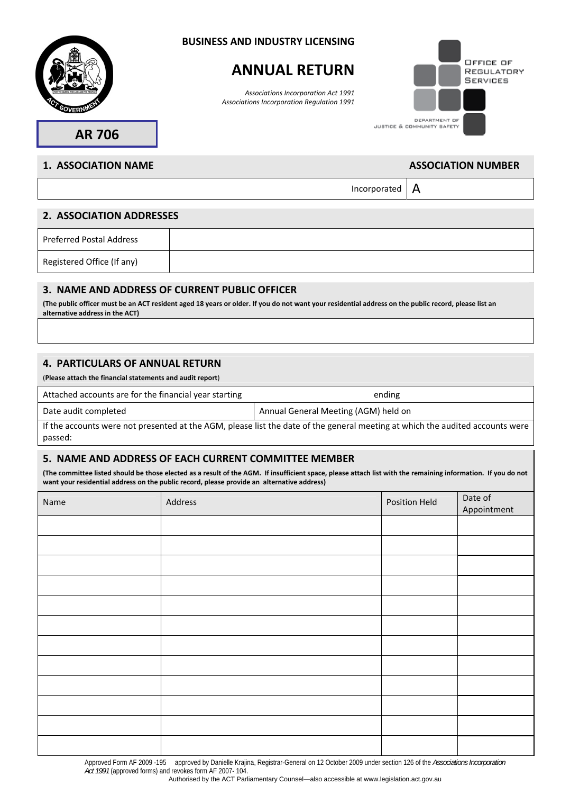

#### **BUSINESS AND INDUSTRY LICENSING**

# **ANNUAL RETURN**

*Associations Incorporation Act 1991 Associations Incorporation Regulation 1991*



**AR 706** 

# **1. ASSOCIATION NAME** ASSOCIATION NUMBER

Incorporated  $\vert$  A

## **2. ASSOCIATION ADDRESSES**

| Preferred Postal Address   |  |
|----------------------------|--|
| Registered Office (If any) |  |

## **3. NAME AND ADDRESS OF CURRENT PUBLIC OFFICER**

**(The public officer must be an ACT resident aged 18 years or older. If you do not want your residential address on the public record, please list an alternative address in the ACT)**

# **4. PARTICULARS OF ANNUAL RETURN**

(**Please attach the financial statements and audit report**)

Attached accounts are for the financial year starting ending ending

Date audit completed Annual General Meeting (AGM) held on

If the accounts were not presented at the AGM, please list the date of the general meeting at which the audited accounts were passed:

### **5. NAME AND ADDRESS OF EACH CURRENT COMMITTEE MEMBER**

**(The committee listed should be those elected as a result of the AGM. If insufficient space, please attach list with the remaining information. If you do not want your residential address on the public record, please provide an alternative address)**

| Name | Address | Position Held | Date of<br>Appointment |
|------|---------|---------------|------------------------|
|      |         |               |                        |
|      |         |               |                        |
|      |         |               |                        |
|      |         |               |                        |
|      |         |               |                        |
|      |         |               |                        |
|      |         |               |                        |
|      |         |               |                        |
|      |         |               |                        |
|      |         |               |                        |
|      |         |               |                        |
|      |         |               |                        |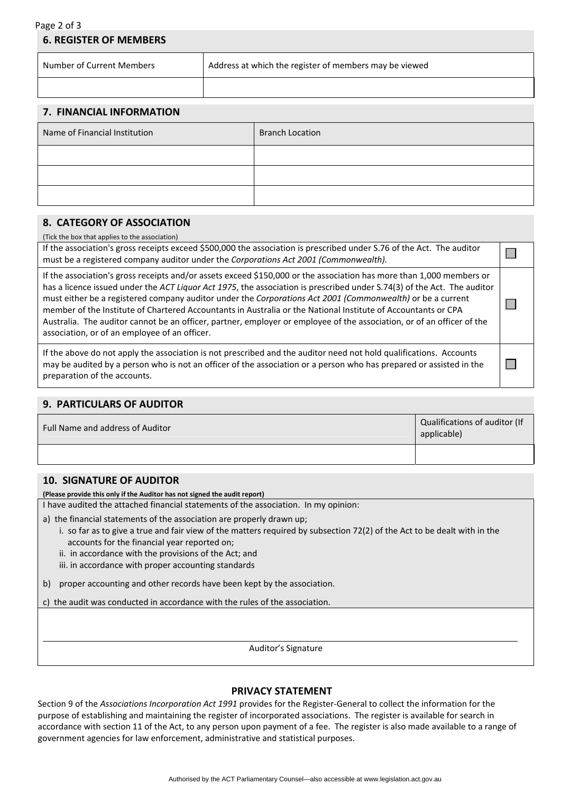#### Page 2 of 3 **6. REGISTER OF MEMBERS**

| Number of Current Members | Address at which the register of members may be viewed |
|---------------------------|--------------------------------------------------------|
|                           |                                                        |

## **7. FINANCIAL INFORMATION**

| Name of Financial Institution | <b>Branch Location</b> |
|-------------------------------|------------------------|
|                               |                        |
|                               |                        |
|                               |                        |

 $\Box$ 

# **8. CATEGORY OF ASSOCIATION**

(Tick the box that applies to the association)

If the association's gross receipts exceed \$500,000 the association is prescribed under S.76 of the Act. The auditor must be a registered company auditor under the *Corporations Act 2001 (Commonwealth).*

If the association's gross receipts and/or assets exceed \$150,000 or the association has more than 1,000 members or has a licence issued under the *ACT Liquor Act 1975*, the association is prescribed under S.74(3) of the Act. The auditor must either be a registered company auditor under the *Corporations Act 2001 (Commonwealth)* or be a current  $\Box$ member of the Institute of Chartered Accountants in Australia or the National Institute of Accountants or CPA Australia. The auditor cannot be an officer, partner, employer or employee of the association, or of an officer of the association, or of an employee of an officer.

If the above do not apply the association is not prescribed and the auditor need not hold qualifications. Accounts may be audited by a person who is not an officer of the association or a person who has prepared or assisted in the  $\Box$ preparation of the accounts.

### **9. PARTICULARS OF AUDITOR**

| Full Name and address of Auditor | Qualifications of auditor (If<br>applicable) |
|----------------------------------|----------------------------------------------|
|                                  |                                              |

# **10. SIGNATURE OF AUDITOR**

 $\overline{a}$ 

**(Please provide this only if the Auditor has not signed the audit report)**

I have audited the attached financial statements of the association. In my opinion:

a) the financial statements of the association are properly drawn up;

- i. so far as to give a true and fair view of the matters required by subsection 72(2) of the Act to be dealt with in the accounts for the financial year reported on;
- ii. in accordance with the provisions of the Act; and
- iii. in accordance with proper accounting standards

b) proper accounting and other records have been kept by the association.

c) the audit was conducted in accordance with the rules of the association.

Auditor's Signature

# **PRIVACY STATEMENT**

Section 9 of the *Associations Incorporation Act 1991* provides for the Register-General to collect the information for the purpose of establishing and maintaining the register of incorporated associations. The register is available for search in accordance with section 11 of the Act, to any person upon payment of a fee. The register is also made available to a range of government agencies for law enforcement, administrative and statistical purposes.